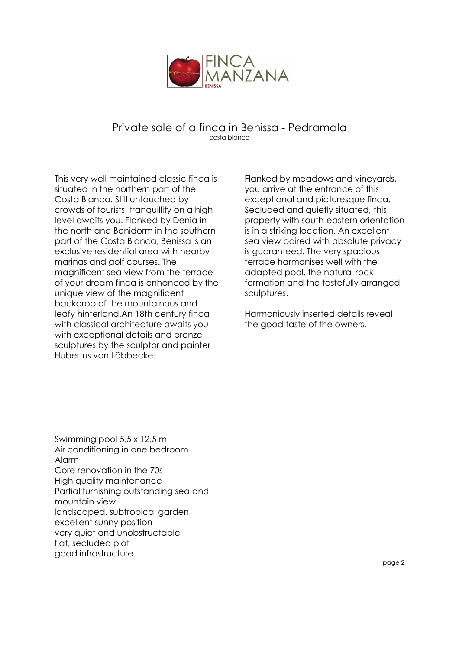

## Private sale of a finca in Benissa - Pedramala costa blanca

This very well maintained classic finca is situated in the northern part of the Costa Blanca. Still untouched by crowds of tourists, tranquillity on a high level awaits you. Flanked by Denia in the north and Benidorm in the southern part of the Costa Blanca, Benissa is an exclusive residential area with nearby marinas and golf courses. The magnificent sea view from the terrace of your dream finca is enhanced by the unique view of the magnificent backdrop of the mountainous and leafy hinterland.An 18th century finca with classical architecture awaits you with exceptional details and bronze sculptures by the sculptor and painter Hubertus von Löbbecke.

Flanked by meadows and vineyards, you arrive at the entrance of this exceptional and picturesque finca. Secluded and quietly situated, this property with south-eastern orientation is in a striking location. An excellent sea view paired with absolute privacy is guaranteed. The very spacious terrace harmonises well with the adapted pool, the natural rock formation and the tastefully arranged sculptures.

Harmoniously inserted details reveal the good taste of the owners.

Swimming pool 5,5 x 12,5 m Air conditioning in one bedroom Alarm Core renovation in the 70s High quality maintenance Partial furnishing outstanding sea and mountain view landscaped, subtropical garden excellent sunny position very quiet and unobstructable flat, secluded plot good infrastructure.

Ì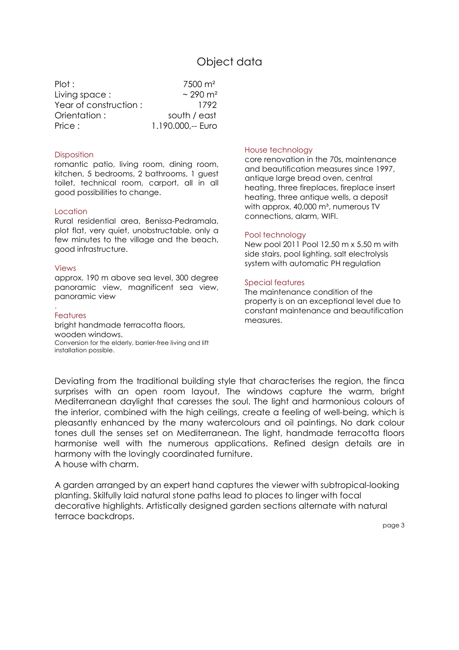# Object data

| Plot:                 | $7500 \; \text{m}^2$      |
|-----------------------|---------------------------|
| Living space:         | $\sim$ 290 m <sup>2</sup> |
| Year of construction: | 1792                      |
| Orientation:          | south / east              |
| Price:                | 1.190.000.-- Euro         |

#### **Disposition**

romantic patio, living room, dining room, kitchen, 5 bedrooms, 2 bathrooms, 1 guest toilet, technical room, carport, all in all good possibilities to change.

#### **Location**

Rural residential area, Benissa-Pedramala, plot flat, very quiet, unobstructable, only a few minutes to the village and the beach, good infrastructure.

#### Views

approx. 190 m above sea level, 300 degree panoramic view, magnificent sea view, panoramic view

#### . Features

bright handmade terracotta floors, wooden windows. Conversion for the elderly, barrier-free living and lift installation possible.

#### House technology

core renovation in the 70s, maintenance and beautification measures since 1997, antique large bread oven, central heating, three fireplaces, fireplace insert heating, three antique wells, a deposit with approx. 40,000 m<sup>3</sup>, numerous TV connections, alarm, WIFI.

#### Pool technology

New pool 2011 Pool 12.50 m x 5.50 m with side stairs, pool lighting, salt electrolysis system with automatic PH regulation

#### Special features

The maintenance condition of the property is on an exceptional level due to constant maintenance and beautification measures.

Deviating from the traditional building style that characterises the region, the finca surprises with an open room layout. The windows capture the warm, bright Mediterranean daylight that caresses the soul. The light and harmonious colours of the interior, combined with the high ceilings, create a feeling of well-being, which is pleasantly enhanced by the many watercolours and oil paintings. No dark colour tones dull the senses set on Mediterranean. The light, handmade terracotta floors harmonise well with the numerous applications. Refined design details are in harmony with the lovingly coordinated furniture. A house with charm.

A garden arranged by an expert hand captures the viewer with subtropical-looking planting. Skilfully laid natural stone paths lead to places to linger with focal decorative highlights. Artistically designed garden sections alternate with natural terrace backdrops.

page 3